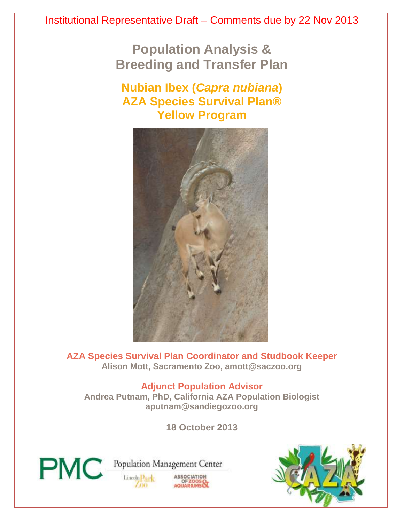**Population Analysis & Breeding and Transfer Plan**

# **Nubian Ibex (***Capra nubiana***) AZA Species Survival Plan® Yellow Program**



**AZA Species Survival Plan Coordinator and Studbook Keeper Alison Mott, Sacramento Zoo, amott@saczoo.org**

**Adjunct Population Advisor**

**Andrea Putnam, PhD, California AZA Population Biologist aputnam@sandiegozoo.org**

**18 October 2013**



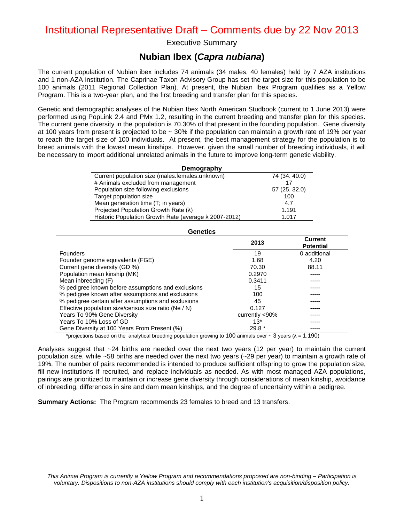Executive Summary

### **Nubian Ibex (***Capra nubiana***)**

The current population of Nubian ibex includes 74 animals (34 males, 40 females) held by 7 AZA institutions and 1 non-AZA institution. The Caprinae Taxon Advisory Group has set the target size for this population to be 100 animals (2011 Regional Collection Plan). At present, the Nubian Ibex Program qualifies as a Yellow Program. This is a two-year plan, and the first breeding and transfer plan for this species.

Genetic and demographic analyses of the Nubian Ibex North American Studbook (current to 1 June 2013) were performed using PopLink 2.4 and PMx 1.2, resulting in the current breeding and transfer plan for this species. The current gene diversity in the population is 70.30% of that present in the founding population. Gene diversity at 100 years from present is projected to be ~ 30% if the population can maintain a growth rate of 19% per year to reach the target size of 100 individuals. At present, the best management strategy for the population is to breed animals with the lowest mean kinships. However, given the small number of breeding individuals, it will be necessary to import additional unrelated animals in the future to improve long-term genetic viability.

| Demography                                                    |               |  |  |  |  |  |  |
|---------------------------------------------------------------|---------------|--|--|--|--|--|--|
| Current population size (males.females.unknown)               | 74 (34.40.0)  |  |  |  |  |  |  |
| # Animals excluded from management                            |               |  |  |  |  |  |  |
| Population size following exclusions                          | 57 (25. 32.0) |  |  |  |  |  |  |
| Target population size                                        | 100           |  |  |  |  |  |  |
| Mean generation time (T; in years)                            | 4.7           |  |  |  |  |  |  |
| Projected Population Growth Rate (λ)                          | 1.191         |  |  |  |  |  |  |
| Historic Population Growth Rate (average $\lambda$ 2007-2012) | 1.017         |  |  |  |  |  |  |

| Genetics                                             |                    |                                    |  |  |  |  |  |  |  |  |
|------------------------------------------------------|--------------------|------------------------------------|--|--|--|--|--|--|--|--|
|                                                      | 2013               | <b>Current</b><br><b>Potential</b> |  |  |  |  |  |  |  |  |
| Founders                                             | 19                 | 0 additional                       |  |  |  |  |  |  |  |  |
| Founder genome equivalents (FGE)                     | 1.68               | 4.20                               |  |  |  |  |  |  |  |  |
| Current gene diversity (GD %)                        | 70.30              | 88.11                              |  |  |  |  |  |  |  |  |
| Population mean kinship (MK)                         | 0.2970             |                                    |  |  |  |  |  |  |  |  |
| Mean inbreeding (F)                                  | 0.3411             |                                    |  |  |  |  |  |  |  |  |
| % pedigree known before assumptions and exclusions   | 15                 |                                    |  |  |  |  |  |  |  |  |
| % pedigree known after assumptions and exclusions    | 100                |                                    |  |  |  |  |  |  |  |  |
| % pedigree certain after assumptions and exclusions  | 45                 |                                    |  |  |  |  |  |  |  |  |
| Effective population size/census size ratio (Ne / N) | 0.127              |                                    |  |  |  |  |  |  |  |  |
| Years To 90% Gene Diversity                          | currently $< 90\%$ |                                    |  |  |  |  |  |  |  |  |
| Years To 10% Loss of GD                              | $13*$              |                                    |  |  |  |  |  |  |  |  |
| Gene Diversity at 100 Years From Present (%)         | $29.8*$            |                                    |  |  |  |  |  |  |  |  |

\*projections based on the analytical breeding population growing to 100 animals over  $\sim$  3 years ( $\lambda$  = 1.190)

Analyses suggest that ~24 births are needed over the next two years (12 per year) to maintain the current population size, while ~58 births are needed over the next two years (~29 per year) to maintain a growth rate of 19%. The number of pairs recommended is intended to produce sufficient offspring to grow the population size, fill new institutions if recruited, and replace individuals as needed. As with most managed AZA populations, pairings are prioritized to maintain or increase gene diversity through considerations of mean kinship, avoidance of inbreeding, differences in sire and dam mean kinships, and the degree of uncertainty within a pedigree.

**Summary Actions:** The Program recommends 23 females to breed and 13 transfers.

*This Animal Program is currently a Yellow Program and recommendations proposed are non-binding – Participation is voluntary. Dispositions to non-AZA institutions should comply with each institution's acquisition/disposition policy.*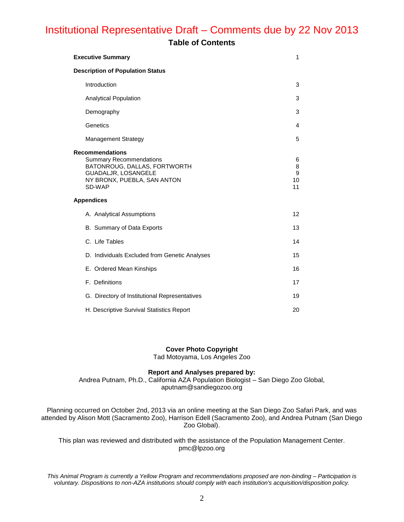### **Table of Contents**

| <b>Executive Summary</b>                                                                                                                                 | 1                       |
|----------------------------------------------------------------------------------------------------------------------------------------------------------|-------------------------|
| <b>Description of Population Status</b>                                                                                                                  |                         |
| Introduction                                                                                                                                             | 3                       |
| <b>Analytical Population</b>                                                                                                                             | 3                       |
| Demography                                                                                                                                               | 3                       |
| Genetics                                                                                                                                                 | 4                       |
| <b>Management Strategy</b>                                                                                                                               | 5                       |
| <b>Recommendations</b><br><b>Summary Recommendations</b><br>BATONROUG, DALLAS, FORTWORTH<br>GUADALJR, LOSANGELE<br>NY BRONX, PUEBLA, SAN ANTON<br>SD-WAP | 6<br>8<br>9<br>10<br>11 |
| <b>Appendices</b>                                                                                                                                        |                         |
| A. Analytical Assumptions                                                                                                                                | 12                      |
| B. Summary of Data Exports                                                                                                                               | 13                      |
| C. Life Tables                                                                                                                                           | 14                      |
| D. Individuals Excluded from Genetic Analyses                                                                                                            | 15                      |
| E. Ordered Mean Kinships                                                                                                                                 | 16                      |
| F. Definitions                                                                                                                                           | 17                      |
| G. Directory of Institutional Representatives                                                                                                            | 19                      |
| H. Descriptive Survival Statistics Report                                                                                                                | 20                      |

#### **Cover Photo Copyright**

Tad Motoyama, Los Angeles Zoo

#### **Report and Analyses prepared by:**

Andrea Putnam, Ph.D., California AZA Population Biologist – San Diego Zoo Global, aputnam@sandiegozoo.org

Planning occurred on October 2nd, 2013 via an online meeting at the San Diego Zoo Safari Park, and was attended by Alison Mott (Sacramento Zoo), Harrison Edell (Sacramento Zoo), and Andrea Putnam (San Diego Zoo Global).

This plan was reviewed and distributed with the assistance of the Population Management Center. pmc@lpzoo.org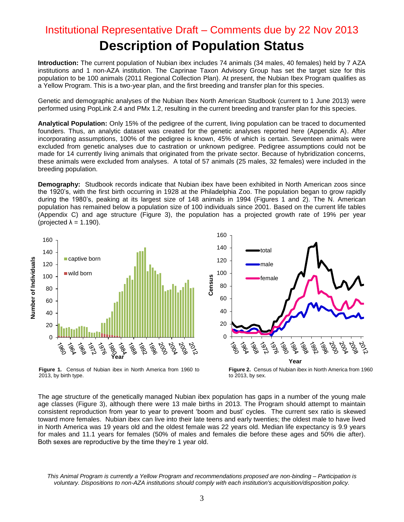# Institutional Representative Draft – Comments due by 22 Nov 2013 **Description of Population Status**

**Introduction:** The current population of Nubian ibex includes 74 animals (34 males, 40 females) held by 7 AZA institutions and 1 non-AZA institution. The Caprinae Taxon Advisory Group has set the target size for this population to be 100 animals (2011 Regional Collection Plan). At present, the Nubian Ibex Program qualifies as a Yellow Program. This is a two-year plan, and the first breeding and transfer plan for this species.

Genetic and demographic analyses of the Nubian Ibex North American Studbook (current to 1 June 2013) were performed using PopLink 2.4 and PMx 1.2, resulting in the current breeding and transfer plan for this species.

**Analytical Population:** Only 15% of the pedigree of the current, living population can be traced to documented founders. Thus, an analytic dataset was created for the genetic analyses reported here (Appendix A). After incorporating assumptions, 100% of the pedigree is known, 45% of which is certain. Seventeen animals were excluded from genetic analyses due to castration or unknown pedigree. Pedigree assumptions could not be made for 14 currently living animals that originated from the private sector. Because of hybridization concerns, these animals were excluded from analyses. A total of 57 animals (25 males, 32 females) were included in the breeding population.

**Demography:** Studbook records indicate that Nubian ibex have been exhibited in North American zoos since the 1920's, with the first birth occurring in 1928 at the Philadelphia Zoo. The population began to grow rapidly during the 1980's, peaking at its largest size of 148 animals in 1994 (Figures 1 and 2). The N. American population has remained below a population size of 100 individuals since 2001. Based on the current life tables (Appendix C) and age structure (Figure 3), the population has a projected growth rate of 19% per year (projected  $\lambda = 1.190$ ).





**Figure 1.** Census of Nubian ibex in North America from 1960 to 2013, by birth type.

**Figure 2.** Census of Nubian ibex in North America from 1960 to 2013, by sex.

The age structure of the genetically managed Nubian ibex population has gaps in a number of the young male age classes (Figure 3), although there were 13 male births in 2013. The Program should attempt to maintain consistent reproduction from year to year to prevent 'boom and bust' cycles. The current sex ratio is skewed toward more females. Nubian ibex can live into their late teens and early twenties; the oldest male to have lived in North America was 19 years old and the oldest female was 22 years old. Median life expectancy is 9.9 years for males and 11.1 years for females (50% of males and females die before these ages and 50% die after). Both sexes are reproductive by the time they're 1 year old.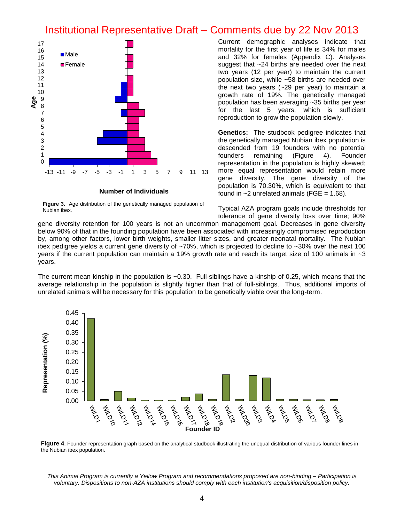

**Figure 3.** Age distribution of the genetically managed population of Nubian ibex.

Current demographic analyses indicate that mortality for the first year of life is 34% for males and 32% for females (Appendix C). Analyses suggest that ~24 births are needed over the next two years (12 per year) to maintain the current population size, while ~58 births are needed over the next two years (~29 per year) to maintain a growth rate of 19%. The genetically managed population has been averaging ~35 births per year for the last 5 years, which is sufficient reproduction to grow the population slowly.

**Genetics:** The studbook pedigree indicates that the genetically managed Nubian ibex population is descended from 19 founders with no potential founders remaining (Figure 4). Founder representation in the population is highly skewed; more equal representation would retain more gene diversity. The gene diversity of the population is 70.30%, which is equivalent to that found in  $\sim$ 2 unrelated animals (FGE = 1.68).

Typical AZA program goals include thresholds for tolerance of gene diversity loss over time; 90%

gene diversity retention for 100 years is not an uncommon management goal. Decreases in gene diversity below 90% of that in the founding population have been associated with increasingly compromised reproduction by, among other factors, lower birth weights, smaller litter sizes, and greater neonatal mortality. The Nubian ibex pedigree yields a current gene diversity of ~70%, which is projected to decline to ~30% over the next 100 years if the current population can maintain a 19% growth rate and reach its target size of 100 animals in ~3 years.

The current mean kinship in the population is ~0.30. Full-siblings have a kinship of 0.25, which means that the average relationship in the population is slightly higher than that of full-siblings. Thus, additional imports of unrelated animals will be necessary for this population to be genetically viable over the long-term.



**Figure 4**: Founder representation graph based on the analytical studbook illustrating the unequal distribution of various founder lines in the Nubian ibex population.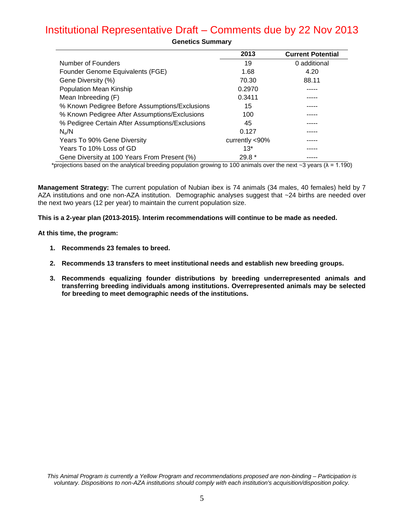|                                                 | 2013           | <b>Current Potential</b> |
|-------------------------------------------------|----------------|--------------------------|
| Number of Founders                              | 19             | 0 additional             |
| Founder Genome Equivalents (FGE)                | 1.68           | 4.20                     |
| Gene Diversity (%)                              | 70.30          | 88.11                    |
| Population Mean Kinship                         | 0.2970         |                          |
| Mean Inbreeding (F)                             | 0.3411         |                          |
| % Known Pedigree Before Assumptions/Exclusions  | 15             |                          |
| % Known Pedigree After Assumptions/Exclusions   | 100            |                          |
| % Pedigree Certain After Assumptions/Exclusions | 45             |                          |
| $N_{\alpha}/N$                                  | 0.127          |                          |
| Years To 90% Gene Diversity                     | currently <90% |                          |
| Years To 10% Loss of GD                         | $13*$          |                          |
| Gene Diversity at 100 Years From Present (%)    | $29.8*$        |                          |

**Genetics Summary**

\*projections based on the analytical breeding population growing to 100 animals over the next  $\sim$ 3 years ( $\lambda$  = 1.190)

**Management Strategy:** The current population of Nubian ibex is 74 animals (34 males, 40 females) held by 7 AZA institutions and one non-AZA institution. Demographic analyses suggest that ~24 births are needed over the next two years (12 per year) to maintain the current population size.

**This is a 2-year plan (2013-2015). Interim recommendations will continue to be made as needed.**

#### **At this time, the program:**

- **1. Recommends 23 females to breed.**
- **2. Recommends 13 transfers to meet institutional needs and establish new breeding groups.**
- **3. Recommends equalizing founder distributions by breeding underrepresented animals and transferring breeding individuals among institutions. Overrepresented animals may be selected for breeding to meet demographic needs of the institutions.**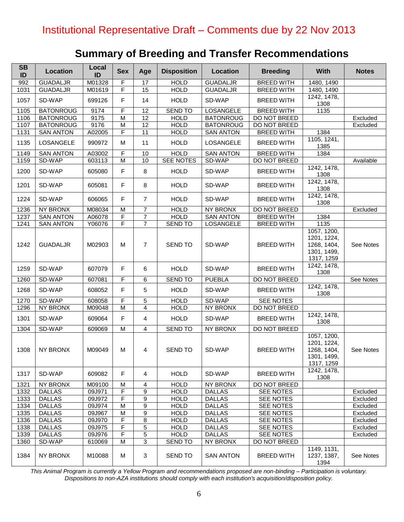# **Summary of Breeding and Transfer Recommendations**

| <b>SB</b><br>ID | <b>Location</b>  | Local<br>ID | <b>Sex</b>     | Age             | <b>Disposition</b> | Location         | <b>Breeding</b>     | <b>With</b>                                                            | <b>Notes</b> |
|-----------------|------------------|-------------|----------------|-----------------|--------------------|------------------|---------------------|------------------------------------------------------------------------|--------------|
| 992             | <b>GUADALJR</b>  | M01328      | F              | 17              | <b>HOLD</b>        | <b>GUADALJR</b>  | <b>BREED WITH</b>   | 1480, 1490                                                             |              |
| 1031            | <b>GUADALJR</b>  | M01619      | F              | 15              | <b>HOLD</b>        | <b>GUADALJR</b>  | <b>BREED WITH</b>   | 1480, 1490                                                             |              |
| 1057            | SD-WAP           | 699126      | F              | 14              | <b>HOLD</b>        | SD-WAP           | <b>BREED WITH</b>   | 1242, 1478,<br>1308                                                    |              |
| 1105            | <b>BATONROUG</b> | 9174        | F              | 12              | <b>SEND TO</b>     | LOSANGELE        | <b>BREED WITH</b>   | 1135                                                                   |              |
| 1106            | <b>BATONROUG</b> | 9175        | $\overline{M}$ | 12              | <b>HOLD</b>        | <b>BATONROUG</b> | <b>DO NOT BREED</b> |                                                                        | Excluded     |
| 1107            | <b>BATONROUG</b> | 9176        | M              | $\overline{12}$ | <b>HOLD</b>        | <b>BATONROUG</b> | DO NOT BREED        |                                                                        | Excluded     |
| 1131            | <b>SAN ANTON</b> | A02005      | F              | $\overline{11}$ | <b>HOLD</b>        | <b>SAN ANTON</b> | <b>BREED WITH</b>   | 1384                                                                   |              |
| 1135            | LOSANGELE        | 990972      | M              | 11              | <b>HOLD</b>        | LOSANGELE        | <b>BREED WITH</b>   | 1105, 1241,<br>1385                                                    |              |
| 1149            | <b>SAN ANTON</b> | A03002      | F              | 10              | <b>HOLD</b>        | <b>SAN ANTON</b> | <b>BREED WITH</b>   | 1384                                                                   |              |
| 1159            | SD-WAP           | 603113      | M              | 10              | <b>SEE NOTES</b>   | SD-WAP           | <b>DO NOT BREED</b> |                                                                        | Available    |
| 1200            | SD-WAP           | 605080      | F              | 8               | <b>HOLD</b>        | SD-WAP           | <b>BREED WITH</b>   | 1242, 1478,<br>1308                                                    |              |
| 1201            | SD-WAP           | 605081      | F              | 8               | <b>HOLD</b>        | SD-WAP           | <b>BREED WITH</b>   | 1242, 1478,<br>1308                                                    |              |
| 1224            | SD-WAP           | 606065      | F              | $\overline{7}$  | <b>HOLD</b>        | SD-WAP           | <b>BREED WITH</b>   | 1242, 1478,<br>1308                                                    |              |
| 1236            | <b>NY BRONX</b>  | M08034      | M              | 7               | <b>HOLD</b>        | NY BRONX         | DO NOT BREED        |                                                                        | Excluded     |
| 1237            | <b>SAN ANTON</b> | A06078      | F              | $\overline{7}$  | <b>HOLD</b>        | <b>SAN ANTON</b> | <b>BREED WITH</b>   | 1384                                                                   |              |
| 1241            | <b>SAN ANTON</b> | Y06076      | F              | $\overline{7}$  | <b>SEND TO</b>     | LOSANGELE        | <b>BREED WITH</b>   | 1135                                                                   |              |
| 1242            | <b>GUADALJR</b>  | M02903      | М              | $\overline{7}$  | SEND TO            | SD-WAP           | <b>BREED WITH</b>   | 1057, 1200,<br>1201, 1224,<br>1268, 1404,<br>1301, 1499,<br>1317, 1259 | See Notes    |
| 1259            | SD-WAP           | 607079      | F              | 6               | <b>HOLD</b>        | SD-WAP           | <b>BREED WITH</b>   | 1242, 1478,<br>1308                                                    |              |
| 1260            | SD-WAP           | 607081      | F              | 6               | <b>SEND TO</b>     | <b>PUEBLA</b>    | DO NOT BREED        |                                                                        | See Notes    |
| 1268            | SD-WAP           | 608052      | F              | 5               | <b>HOLD</b>        | SD-WAP           | <b>BREED WITH</b>   | 1242, 1478,<br>1308                                                    |              |
| 1270            | SD-WAP           | 608058      | F              | 5               | <b>HOLD</b>        | SD-WAP           | SEE NOTES           |                                                                        |              |
| 1296            | <b>NY BRONX</b>  | M09048      | M              | $\overline{4}$  | <b>HOLD</b>        | <b>NY BRONX</b>  | <b>DO NOT BREED</b> |                                                                        |              |
| 1301            | SD-WAP           | 609064      | F              | 4               | <b>HOLD</b>        | SD-WAP           | <b>BREED WITH</b>   | 1242, 1478,<br>1308                                                    |              |
| 1304            | SD-WAP           | 609069      | M              | 4               | <b>SEND TO</b>     | NY BRONX         | DO NOT BREED        |                                                                        |              |
| 1308            | NY BRONX         | M09049      | M              | 4               | <b>SEND TO</b>     | SD-WAP           | <b>BREED WITH</b>   | 1057, 1200,<br>1201, 1224,<br>1268, 1404,<br>1301, 1499,<br>1317, 1259 | See Notes    |
| 1317            | SD-WAP           | 609082      | F              | 4               | <b>HOLD</b>        | SD-WAP           | <b>BREED WITH</b>   | 1242, 1478,<br>1308                                                    |              |
| 1321            | NY BRONX         | M09100      | М              | 4               | <b>HOLD</b>        | NY BRONX         | DO NOT BREED        |                                                                        |              |
| 1332            | <b>DALLAS</b>    | 09J971      | F              | 9               | <b>HOLD</b>        | <b>DALLAS</b>    | SEE NOTES           |                                                                        | Excluded     |
| 1333            | <b>DALLAS</b>    | 09J972      | F              | 9               | <b>HOLD</b>        | <b>DALLAS</b>    | SEE NOTES           |                                                                        | Excluded     |
| 1334            | <b>DALLAS</b>    | 09J974      | M              | 9               | <b>HOLD</b>        | <b>DALLAS</b>    | SEE NOTES           |                                                                        | Excluded     |
| 1335            | <b>DALLAS</b>    | 09J967      | M              | 9               | <b>HOLD</b>        | <b>DALLAS</b>    | SEE NOTES           |                                                                        | Excluded     |
| 1336            | <b>DALLAS</b>    | 09J970      | F              | 8               | <b>HOLD</b>        | <b>DALLAS</b>    | SEE NOTES           |                                                                        | Excluded     |
| 1338            | <b>DALLAS</b>    | 09J975      | F              | 5               | <b>HOLD</b>        | <b>DALLAS</b>    | SEE NOTES           |                                                                        | Excluded     |
| 1339            | <b>DALLAS</b>    | 09J976      | F              | 5               | <b>HOLD</b>        | <b>DALLAS</b>    | SEE NOTES           |                                                                        | Excluded     |
| 1360            | SD-WAP           | 610069      | M              | 3               | <b>SEND TO</b>     | NY BRONX         | DO NOT BREED        |                                                                        |              |
| 1384            | NY BRONX         | M10088      | M              | 3               | <b>SEND TO</b>     | <b>SAN ANTON</b> | <b>BREED WITH</b>   | 1149, 1131,<br>1237, 1387,<br>1394                                     | See Notes    |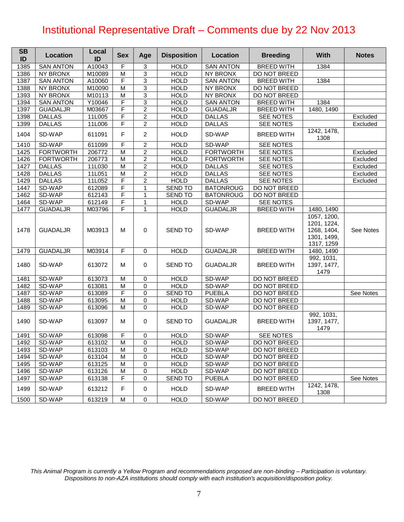| <b>SB</b><br>ID | <b>Location</b>  | Local<br>ID | <b>Sex</b>     | Age            | <b>Disposition</b> | Location         | <b>Breeding</b>   | <b>With</b>                                                            | <b>Notes</b> |
|-----------------|------------------|-------------|----------------|----------------|--------------------|------------------|-------------------|------------------------------------------------------------------------|--------------|
| 1385            | <b>SAN ANTON</b> | A10043      | F              | 3              | <b>HOLD</b>        | <b>SAN ANTON</b> | <b>BREED WITH</b> | 1384                                                                   |              |
| 1386            | <b>NY BRONX</b>  | M10089      | M              | $\overline{3}$ | <b>HOLD</b>        | <b>NY BRONX</b>  | DO NOT BREED      |                                                                        |              |
| 1387            | <b>SAN ANTON</b> | A10060      | F              | 3              | <b>HOLD</b>        | <b>SAN ANTON</b> | <b>BREED WITH</b> | 1384                                                                   |              |
| 1388            | <b>NY BRONX</b>  | M10090      | M              | 3              | <b>HOLD</b>        | <b>NY BRONX</b>  | DO NOT BREED      |                                                                        |              |
| 1393            | NY BRONX         | M10113      | M              | 3              | <b>HOLD</b>        | <b>NY BRONX</b>  | DO NOT BREED      |                                                                        |              |
| 1394            | <b>SAN ANTON</b> | Y10046      | F              | 3              | <b>HOLD</b>        | <b>SAN ANTON</b> | <b>BREED WITH</b> | 1384                                                                   |              |
| 1397            | <b>GUADALJR</b>  | M03667      | F              | $\overline{2}$ | <b>HOLD</b>        | <b>GUADALJR</b>  | <b>BREED WITH</b> | 1480, 1490                                                             |              |
| 1398            | <b>DALLAS</b>    | 11L005      | F              | $\overline{2}$ | <b>HOLD</b>        | <b>DALLAS</b>    | SEE NOTES         |                                                                        | Excluded     |
| 1399            | <b>DALLAS</b>    | 11L006      | F              | $\overline{2}$ | <b>HOLD</b>        | <b>DALLAS</b>    | <b>SEE NOTES</b>  |                                                                        | Excluded     |
| 1404            | SD-WAP           | 611091      | F              | $\overline{2}$ | <b>HOLD</b>        | SD-WAP           | <b>BREED WITH</b> | 1242, 1478,<br>1308                                                    |              |
| 1410            | SD-WAP           | 611099      | F              | $\overline{c}$ | <b>HOLD</b>        | SD-WAP           | SEE NOTES         |                                                                        |              |
| 1425            | <b>FORTWORTH</b> | 206772      | $\overline{M}$ | $\overline{2}$ | <b>HOLD</b>        | <b>FORTWORTH</b> | <b>SEE NOTES</b>  |                                                                        | Excluded     |
| 1426            | <b>FORTWORTH</b> | 206773      | M              | $\overline{c}$ | <b>HOLD</b>        | <b>FORTWORTH</b> | SEE NOTES         |                                                                        | Excluded     |
| 1427            | <b>DALLAS</b>    | 11L030      | M              | $\overline{c}$ | <b>HOLD</b>        | <b>DALLAS</b>    | SEE NOTES         |                                                                        | Excluded     |
| 1428            | <b>DALLAS</b>    | 11L051      | M              | $\overline{c}$ | <b>HOLD</b>        | <b>DALLAS</b>    | <b>SEE NOTES</b>  |                                                                        | Excluded     |
| 1429            | <b>DALLAS</b>    | 11L052      | F              | $\overline{2}$ | <b>HOLD</b>        | <b>DALLAS</b>    | <b>SEE NOTES</b>  |                                                                        | Excluded     |
| 1447            | SD-WAP           | 612089      | F              | $\mathbf{1}$   | <b>SEND TO</b>     | <b>BATONROUG</b> | DO NOT BREED      |                                                                        |              |
| 1462            | SD-WAP           | 612143      | F              | $\mathbf{1}$   | <b>SEND TO</b>     | <b>BATONROUG</b> | DO NOT BREED      |                                                                        |              |
| 1464            | SD-WAP           | 612149      | F              | 1              | <b>HOLD</b>        | SD-WAP           | SEE NOTES         |                                                                        |              |
| 1477            | <b>GUADALJR</b>  | M03796      | F              | $\mathbf{1}$   | <b>HOLD</b>        | <b>GUADALJR</b>  | <b>BREED WITH</b> | 1480, 1490                                                             |              |
| 1478            | <b>GUADALJR</b>  | M03913      | M              | $\mathbf 0$    | <b>SEND TO</b>     | SD-WAP           | <b>BREED WITH</b> | 1057, 1200,<br>1201, 1224,<br>1268, 1404,<br>1301, 1499,<br>1317, 1259 | See Notes    |
| 1479            | <b>GUADALJR</b>  | M03914      | F              | $\mathbf 0$    | <b>HOLD</b>        | <b>GUADALJR</b>  | <b>BREED WITH</b> | 1480, 1490                                                             |              |
| 1480            | SD-WAP           | 613072      | M              | 0              | <b>SEND TO</b>     | <b>GUADALJR</b>  | <b>BREED WITH</b> | 992, 1031,<br>1397, 1477,<br>1479                                      |              |
| 1481            | SD-WAP           | 613073      | M              | $\pmb{0}$      | <b>HOLD</b>        | SD-WAP           | DO NOT BREED      |                                                                        |              |
| 1482            | SD-WAP           | 613081      | M              | $\pmb{0}$      | <b>HOLD</b>        | SD-WAP           | DO NOT BREED      |                                                                        |              |
| 1487            | SD-WAP           | 613089      | F              | $\pmb{0}$      | <b>SEND TO</b>     | <b>PUEBLA</b>    | DO NOT BREED      |                                                                        | See Notes    |
| 1488            | SD-WAP           | 613095      | M              | $\pmb{0}$      | <b>HOLD</b>        | SD-WAP           | DO NOT BREED      |                                                                        |              |
| 1489            | SD-WAP           | 613096      | M              | 0              | <b>HOLD</b>        | SD-WAP           | DO NOT BREED      |                                                                        |              |
| 1490            | SD-WAP           | 613097      | M              | $\mathbf 0$    | SEND TO            | <b>GUADALJR</b>  | <b>BREED WITH</b> | 992, 1031,<br>1397, 1477,<br>1479                                      |              |
| 1491            | SD-WAP           | 613098      | F              | 0              | <b>HOLD</b>        | SD-WAP           | <b>SEE NOTES</b>  |                                                                        |              |
| 1492            | SD-WAP           | 613102      | M              | $\overline{0}$ | <b>HOLD</b>        | SD-WAP           | DO NOT BREED      |                                                                        |              |
| 1493            | SD-WAP           | 613103      | м              | $\Omega$       | <b>HOLD</b>        | SD-WAP           | DO NOT BREED      |                                                                        |              |
| 1494            | SD-WAP           | 613104      | M              | 0              | <b>HOLD</b>        | SD-WAP           | DO NOT BREED      |                                                                        |              |
| 1495            | SD-WAP           | 613125      | М              | 0              | <b>HOLD</b>        | SD-WAP           | DO NOT BREED      |                                                                        |              |
| 1496            | SD-WAP           | 613126      | М              | 0              | <b>HOLD</b>        | SD-WAP           | DO NOT BREED      |                                                                        |              |
| 1497            | SD-WAP           | 613138      | F              | $\mathbf 0$    | <b>SEND TO</b>     | <b>PUEBLA</b>    | DO NOT BREED      |                                                                        | See Notes    |
| 1499            | SD-WAP           | 613212      | F              | 0              | <b>HOLD</b>        | SD-WAP           | <b>BREED WITH</b> | 1242, 1478,<br>1308                                                    |              |
| 1500            | SD-WAP           | 613219      | M              | 0              | <b>HOLD</b>        | SD-WAP           | DO NOT BREED      |                                                                        |              |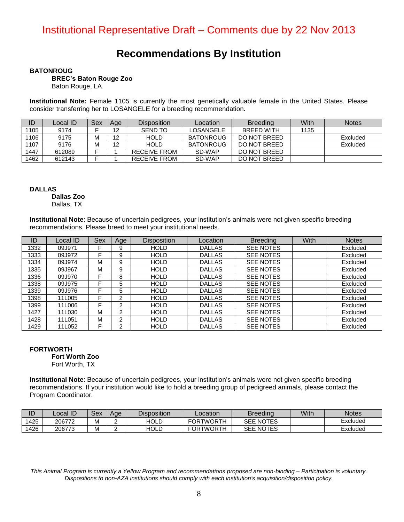### **Recommendations By Institution**

#### **BATONROUG**

 **BREC's Baton Rouge Zoo**

Baton Rouge, LA

**Institutional Note:** Female 1105 is currently the most genetically valuable female in the United States. Please consider transferring her to LOSANGELE for a breeding recommendation.

|      | Local ID | Sex | Age | <b>Disposition</b>  | Location         | <b>Breeding</b> | With | <b>Notes</b> |
|------|----------|-----|-----|---------------------|------------------|-----------------|------|--------------|
| 1105 | 9174     |     | 12  | <b>SEND TO</b>      | <b>LOSANGELE</b> | BREED WITH      | 1135 |              |
| 1106 | 9175     | М   | 12  | <b>HOLD</b>         | <b>BATONROUG</b> | DO NOT BREED    |      | Excluded     |
| 1107 | 9176     | М   | 12  | HOLD.               | <b>BATONROUG</b> | DO NOT BREED    |      | Excluded     |
| 1447 | 612089   |     |     | <b>RECEIVE FROM</b> | SD-WAP           | DO NOT BREED    |      |              |
| 1462 | 612143   |     |     | RECEIVE FROM        | SD-WAP           | DO NOT BREED    |      |              |

**DALLAS**

 **Dallas Zoo**

Dallas, TX

**Institutional Note**: Because of uncertain pedigrees, your institution's animals were not given specific breeding recommendations. Please breed to meet your institutional needs.

| ID   | Local ID | <b>Sex</b> | Age            | <b>Disposition</b> | Location      | <b>Breeding</b>  | With | <b>Notes</b> |
|------|----------|------------|----------------|--------------------|---------------|------------------|------|--------------|
| 1332 | 09J971   |            | 9              | <b>HOLD</b>        | <b>DALLAS</b> | <b>SEE NOTES</b> |      | Excluded     |
| 1333 | 09J972   |            | 9              | <b>HOLD</b>        | <b>DALLAS</b> | <b>SEE NOTES</b> |      | Excluded     |
| 1334 | 09J974   | М          | 9              | <b>HOLD</b>        | <b>DALLAS</b> | <b>SEE NOTES</b> |      | Excluded     |
| 1335 | 09J967   | М          | 9              | <b>HOLD</b>        | <b>DALLAS</b> | <b>SEE NOTES</b> |      | Excluded     |
| 1336 | 09J970   | F          | 8              | <b>HOLD</b>        | <b>DALLAS</b> | <b>SEE NOTES</b> |      | Excluded     |
| 1338 | 09J975   | F          | 5              | <b>HOLD</b>        | <b>DALLAS</b> | <b>SEE NOTES</b> |      | Excluded     |
| 1339 | 09J976   |            | 5              | <b>HOLD</b>        | <b>DALLAS</b> | <b>SEE NOTES</b> |      | Excluded     |
| 1398 | 11L005   |            | 2              | <b>HOLD</b>        | <b>DALLAS</b> | <b>SEE NOTES</b> |      | Excluded     |
| 1399 | 11L006   |            | 2              | <b>HOLD</b>        | <b>DALLAS</b> | <b>SEE NOTES</b> |      | Excluded     |
| 1427 | 11L030   | M          | $\overline{2}$ | <b>HOLD</b>        | <b>DALLAS</b> | <b>SEE NOTES</b> |      | Excluded     |
| 1428 | 11L051   | м          | $\overline{2}$ | <b>HOLD</b>        | <b>DALLAS</b> | <b>SEE NOTES</b> |      | Excluded     |
| 1429 | 11L052   | F          | $\overline{2}$ | <b>HOLD</b>        | <b>DALLAS</b> | <b>SEE NOTES</b> |      | Excluded     |

#### **FORTWORTH**

 **Fort Worth Zoo**

Fort Worth, TX

**Institutional Note**: Because of uncertain pedigrees, your institution's animals were not given specific breeding recommendations. If your institution would like to hold a breeding group of pedigreed animals, please contact the Program Coordinator.

| ID   | ∟ocal ID | Sex | Age | <b>Disposition</b> | Location         | <b>Breeding</b>  | With | <b>Notes</b> |
|------|----------|-----|-----|--------------------|------------------|------------------|------|--------------|
| 1425 | 206772   | м   |     | HOLD               | <b>FORTWORTH</b> | <b>SEE NOTES</b> |      | Excluded     |
| 1426 | 206773   | M   |     | HOLD               | <b>FORTWORTH</b> | <b>SEE NOTES</b> |      | Excluded     |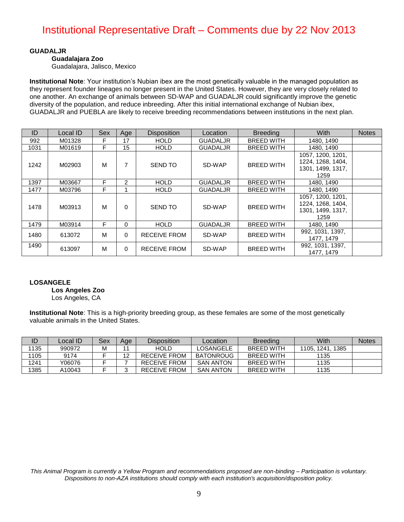#### **GUADALJR**

 **Guadalajara Zoo**

Guadalajara, Jalisco, Mexico

**Institutional Note**: Your institution's Nubian ibex are the most genetically valuable in the managed population as they represent founder lineages no longer present in the United States. However, they are very closely related to one another. An exchange of animals between SD-WAP and GUADALJR could significantly improve the genetic diversity of the population, and reduce inbreeding. After this initial international exchange of Nubian ibex, GUADALJR and PUEBLA are likely to receive breeding recommendations between institutions in the next plan.

| ID   | Local ID | Sex | Age      | <b>Disposition</b>  | Location        | <b>Breeding</b>   | With                                                                | <b>Notes</b> |
|------|----------|-----|----------|---------------------|-----------------|-------------------|---------------------------------------------------------------------|--------------|
| 992  | M01328   | F   | 17       | <b>HOLD</b>         | <b>GUADALJR</b> | <b>BREED WITH</b> | 1480, 1490                                                          |              |
| 1031 | M01619   | F   | 15       | <b>HOLD</b>         | <b>GUADALJR</b> | <b>BREED WITH</b> | 1480, 1490                                                          |              |
| 1242 | M02903   | м   | 7        | <b>SEND TO</b>      | SD-WAP          | <b>BREED WITH</b> | 1057, 1200, 1201,<br>1224, 1268, 1404,<br>1301, 1499, 1317,         |              |
|      |          |     |          |                     |                 |                   | 1259                                                                |              |
| 1397 | M03667   | F   | 2        | <b>HOLD</b>         | <b>GUADALJR</b> | <b>BREED WITH</b> | 1480, 1490                                                          |              |
| 1477 | M03796   | F   |          | <b>HOLD</b>         | <b>GUADALJR</b> | <b>BREED WITH</b> | 1480, 1490                                                          |              |
| 1478 | M03913   | м   | $\Omega$ | <b>SEND TO</b>      | SD-WAP          | <b>BREED WITH</b> | 1057, 1200, 1201,<br>1224, 1268, 1404,<br>1301, 1499, 1317,<br>1259 |              |
| 1479 | M03914   | F   | $\Omega$ | <b>HOLD</b>         | <b>GUADALJR</b> | <b>BREED WITH</b> | 1480, 1490                                                          |              |
| 1480 | 613072   | м   | $\Omega$ | <b>RECEIVE FROM</b> | SD-WAP          | <b>BREED WITH</b> | 992, 1031, 1397,<br>1477, 1479                                      |              |
| 1490 | 613097   | м   | $\Omega$ | RECEIVE FROM        | SD-WAP          | <b>BREED WITH</b> | 992, 1031, 1397,<br>1477, 1479                                      |              |

#### **LOSANGELE**

 **Los Angeles Zoo**

Los Angeles, CA

**Institutional Note**: This is a high-priority breeding group, as these females are some of the most genetically valuable animals in the United States.

| ID   | ∠ocal ID⊺ | Sex | Age | <b>Disposition</b>  | Location         | <b>Breeding</b>   | With             | <b>Notes</b> |
|------|-----------|-----|-----|---------------------|------------------|-------------------|------------------|--------------|
| 1135 | 990972    |     |     | <b>HOLD</b>         | LOSANGELE        | BREED WITH        | 1105. 1241. 1385 |              |
| 1105 | 9174      |     |     | <b>RECEIVE FROM</b> | <b>BATONROUG</b> | <b>BREED WITH</b> | 1135             |              |
| 1241 | Y06076    |     |     | <b>RECEIVE FROM</b> | <b>SAN ANTON</b> | BREED WITH        | 1135             |              |
| 1385 | A10043    |     |     | RECEIVE FROM        | <b>SAN ANTON</b> | BREED WITH        | 1135             |              |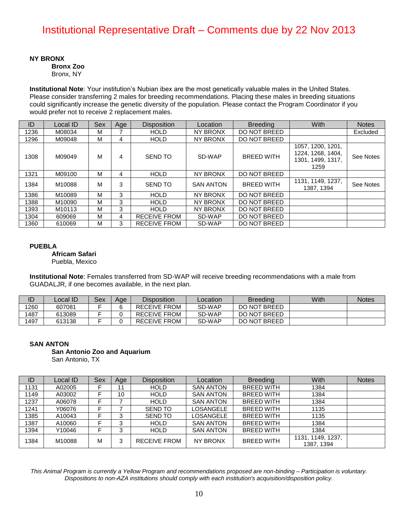**NY BRONX**

 **Bronx Zoo**

Bronx, NY

**Institutional Note**: Your institution's Nubian ibex are the most genetically valuable males in the United States. Please consider transferring 2 males for breeding recommendations. Placing these males in breeding situations could significantly increase the genetic diversity of the population. Please contact the Program Coordinator if you would prefer not to receive 2 replacement males.

| ID   | Local ID           | <b>Sex</b> | Age | <b>Disposition</b>  | Location         | <b>Breeding</b>   | With                                                                | <b>Notes</b> |
|------|--------------------|------------|-----|---------------------|------------------|-------------------|---------------------------------------------------------------------|--------------|
| 1236 | M08034             | м          |     | <b>HOLD</b>         | NY BRONX         | DO NOT BREED      |                                                                     | Excluded     |
| 1296 | M09048             | М          | 4   | <b>HOLD</b>         | NY BRONX         | DO NOT BREED      |                                                                     |              |
| 1308 | M09049             | M          | 4   | <b>SEND TO</b>      | SD-WAP           | <b>BREED WITH</b> | 1057, 1200, 1201,<br>1224, 1268, 1404,<br>1301, 1499, 1317,<br>1259 | See Notes    |
| 1321 | M09100             | М          | 4   | <b>HOLD</b>         | NY BRONX         | DO NOT BREED      |                                                                     |              |
| 1384 | M10088             | М          | 3   | <b>SEND TO</b>      | <b>SAN ANTON</b> | <b>BREED WITH</b> | 1131, 1149, 1237,<br>1387, 1394                                     | See Notes    |
| 1386 | M10089             | м          | 3   | <b>HOLD</b>         | NY BRONX         | DO NOT BREED      |                                                                     |              |
| 1388 | M10090             | м          | 3   | <b>HOLD</b>         | NY BRONX         | DO NOT BREED      |                                                                     |              |
| 1393 | M <sub>10113</sub> | М          | 3   | <b>HOLD</b>         | NY BRONX         | DO NOT BREED      |                                                                     |              |
| 1304 | 609069             | м          | 4   | RECEIVE FROM        | SD-WAP           | DO NOT BREED      |                                                                     |              |
| 1360 | 610069             | м          | 3   | <b>RECEIVE FROM</b> | SD-WAP           | DO NOT BREED      |                                                                     |              |

#### **PUEBLA**

 **Africam Safari**

Puebla, Mexico

**Institutional Note**: Females transferred from SD-WAP will receive breeding recommendations with a male from GUADALJR, if one becomes available, in the next plan.

| ID   | Local ID | Sex | Age | <b>Disposition</b>  | <b>Breeding</b><br>Location |              | With | <b>Notes</b> |
|------|----------|-----|-----|---------------------|-----------------------------|--------------|------|--------------|
| 1260 | 607081   |     |     | <b>RECEIVE FROM</b> | SD-WAP                      | DO NOT BREED |      |              |
| 1487 | 613089   |     |     | <b>RECEIVE FROM</b> | SD-WAP                      | DO NOT BREED |      |              |
| 1497 | 613138   |     |     | <b>RECEIVE FROM</b> | SD-WAP                      | DO NOT BREED |      |              |

#### **SAN ANTON**

 **San Antonio Zoo and Aquarium** San Antonio, TX

| ID   | Local ID | Sex | Age | <b>Disposition</b>  | Location         | <b>Breeding</b>   | With                            | <b>Notes</b> |
|------|----------|-----|-----|---------------------|------------------|-------------------|---------------------------------|--------------|
| 1131 | A02005   | F   | 11  | <b>HOLD</b>         | <b>SAN ANTON</b> | <b>BREED WITH</b> | 1384                            |              |
| 1149 | A03002   |     | 10  | <b>HOLD</b>         | <b>SAN ANTON</b> | <b>BREED WITH</b> | 1384                            |              |
| 1237 | A06078   | F   |     | <b>HOLD</b>         | <b>SAN ANTON</b> | <b>BREED WITH</b> | 1384                            |              |
| 1241 | Y06076   | Е   |     | <b>SEND TO</b>      | <b>LOSANGELE</b> | <b>BREED WITH</b> | 1135                            |              |
| 1385 | A10043   |     | 3   | <b>SEND TO</b>      | <b>LOSANGELE</b> | <b>BREED WITH</b> | 1135                            |              |
| 1387 | A10060   |     | 3   | <b>HOLD</b>         | <b>SAN ANTON</b> | <b>BREED WITH</b> | 1384                            |              |
| 1394 | Y10046   | F   | 3   | <b>HOLD</b>         | <b>SAN ANTON</b> | <b>BREED WITH</b> | 1384                            |              |
| 1384 | M10088   | м   | 3   | <b>RECEIVE FROM</b> | NY BRONX         | <b>BREED WITH</b> | 1131, 1149, 1237.<br>1387, 1394 |              |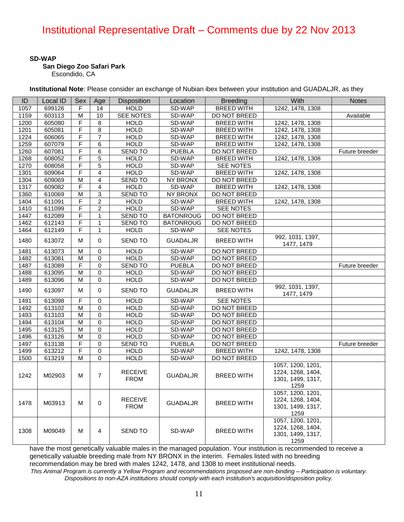#### **SD-WAP**

#### **San Diego Zoo Safari Park**

Escondido, CA

**Institutional Note**: Please consider an exchange of Nubian ibex between your institution and GUADALJR, as they

| ID   | Local ID | Sex | Age            | Disposition                   | Location         | <b>Breeding</b>   | With                                                                | <b>Notes</b>   |
|------|----------|-----|----------------|-------------------------------|------------------|-------------------|---------------------------------------------------------------------|----------------|
| 1057 | 699126   | F   | 14             | <b>HOLD</b>                   | SD-WAP           | <b>BREED WITH</b> | 1242, 1478, 1308                                                    |                |
| 1159 | 603113   | M   | 10             | SEE NOTES                     | SD-WAP           | DO NOT BREED      |                                                                     | Available      |
| 1200 | 605080   | F   | 8              | <b>HOLD</b>                   | SD-WAP           | <b>BREED WITH</b> | 1242, 1478, 1308                                                    |                |
| 1201 | 605081   | F   | 8              | <b>HOLD</b>                   | SD-WAP           | <b>BREED WITH</b> | 1242, 1478, 1308                                                    |                |
| 1224 | 606065   | F   | $\overline{7}$ | <b>HOLD</b>                   | SD-WAP           | <b>BREED WITH</b> | 1242, 1478, 1308                                                    |                |
| 1259 | 607079   | F   | 6              | <b>HOLD</b>                   | SD-WAP           | <b>BREED WITH</b> | 1242, 1478, 1308                                                    |                |
| 1260 | 607081   | F   | 6              | <b>SEND TO</b>                | <b>PUEBLA</b>    | DO NOT BREED      |                                                                     | Future breeder |
| 1268 | 608052   | F   | 5              | <b>HOLD</b>                   | SD-WAP           | <b>BREED WITH</b> | 1242, 1478, 1308                                                    |                |
| 1270 | 608058   | F   | $\overline{5}$ | <b>HOLD</b>                   | SD-WAP           | SEE NOTES         |                                                                     |                |
| 1301 | 609064   | F   | 4              | <b>HOLD</b>                   | SD-WAP           | <b>BREED WITH</b> | 1242, 1478, 1308                                                    |                |
| 1304 | 609069   | M   | $\overline{4}$ | <b>SEND TO</b>                | <b>NY BRONX</b>  | DO NOT BREED      |                                                                     |                |
| 1317 | 609082   | F   | 4              | <b>HOLD</b>                   | SD-WAP           | <b>BREED WITH</b> | 1242, 1478, 1308                                                    |                |
| 1360 | 610069   | M   | 3              | SEND TO                       | <b>NY BRONX</b>  | DO NOT BREED      |                                                                     |                |
| 1404 | 611091   | F   | $\overline{2}$ | <b>HOLD</b>                   | SD-WAP           | <b>BREED WITH</b> | 1242, 1478, 1308                                                    |                |
| 1410 | 611099   | F   | $\overline{c}$ | <b>HOLD</b>                   | SD-WAP           | SEE NOTES         |                                                                     |                |
| 1447 | 612089   | F   | 1              | <b>SEND TO</b>                | <b>BATONROUG</b> | DO NOT BREED      |                                                                     |                |
| 1462 | 612143   | F   | 1              | <b>SEND TO</b>                | <b>BATONROUG</b> | DO NOT BREED      |                                                                     |                |
| 1464 | 612149   | F   | 1              | <b>HOLD</b>                   | SD-WAP           | SEE NOTES         |                                                                     |                |
| 1480 | 613072   | м   | $\Omega$       | <b>SEND TO</b>                | <b>GUADALJR</b>  | <b>BREED WITH</b> | 992, 1031, 1397,                                                    |                |
|      |          |     |                |                               |                  |                   | 1477, 1479                                                          |                |
| 1481 | 613073   | M   | 0              | <b>HOLD</b>                   | SD-WAP           | DO NOT BREED      |                                                                     |                |
| 1482 | 613081   | м   | $\Omega$       | <b>HOLD</b>                   | SD-WAP           | DO NOT BREED      |                                                                     |                |
| 1487 | 613089   | F   | $\Omega$       | <b>SEND TO</b>                | <b>PUEBLA</b>    | DO NOT BREED      |                                                                     | Future breeder |
| 1488 | 613095   | M   | 0              | <b>HOLD</b>                   | SD-WAP           | DO NOT BREED      |                                                                     |                |
| 1489 | 613096   | M   | $\Omega$       | <b>HOLD</b>                   | SD-WAP           | DO NOT BREED      |                                                                     |                |
| 1490 | 613097   | м   | 0              | <b>SEND TO</b>                | <b>GUADALJR</b>  | <b>BREED WITH</b> | 992, 1031, 1397,<br>1477, 1479                                      |                |
| 1491 | 613098   | F   | 0              | <b>HOLD</b>                   | SD-WAP           | SEE NOTES         |                                                                     |                |
| 1492 | 613102   | M   | $\Omega$       | <b>HOLD</b>                   | SD-WAP           | DO NOT BREED      |                                                                     |                |
| 1493 | 613103   | M   | $\mathbf 0$    | <b>HOLD</b>                   | SD-WAP           | DO NOT BREED      |                                                                     |                |
| 1494 | 613104   | M   | 0              | <b>HOLD</b>                   | SD-WAP           | DO NOT BREED      |                                                                     |                |
| 1495 | 613125   | M   | $\Omega$       | <b>HOLD</b>                   | SD-WAP           | DO NOT BREED      |                                                                     |                |
| 1496 | 613126   | M   | $\mathbf 0$    | <b>HOLD</b>                   | SD-WAP           | DO NOT BREED      |                                                                     |                |
| 1497 | 613138   | F   | 0              | <b>SEND TO</b>                | <b>PUEBLA</b>    | DO NOT BREED      |                                                                     | Future breeder |
| 1499 | 613212   | F   | $\mathbf 0$    | <b>HOLD</b>                   | SD-WAP           | <b>BREED WITH</b> | 1242, 1478, 1308                                                    |                |
| 1500 | 613219   | M   | $\Omega$       | <b>HOLD</b>                   | SD-WAP           | DO NOT BREED      |                                                                     |                |
| 1242 | M02903   | м   | $\overline{7}$ | <b>RECEIVE</b><br><b>FROM</b> | <b>GUADALJR</b>  | <b>BREED WITH</b> | 1057, 1200, 1201,<br>1224, 1268, 1404,<br>1301, 1499, 1317,<br>1259 |                |
| 1478 | M03913   | M   | $\mathbf 0$    | <b>RECEIVE</b><br><b>FROM</b> | <b>GUADALJR</b>  | <b>BREED WITH</b> | 1057, 1200, 1201,<br>1224, 1268, 1404,<br>1301, 1499, 1317,<br>1259 |                |
| 1308 | M09049   | М   | 4              | SEND TO                       | SD-WAP           | <b>BREED WITH</b> | 1057, 1200, 1201,<br>1224, 1268, 1404,<br>1301, 1499, 1317,<br>1259 |                |

have the most genetically valuable males in the managed population. Your institution is recommended to receive a genetically valuable breeding male from NY BRONX in the interim. Females listed with no breeding recommendation may be bred with males 1242, 1478, and 1308 to meet institutional needs.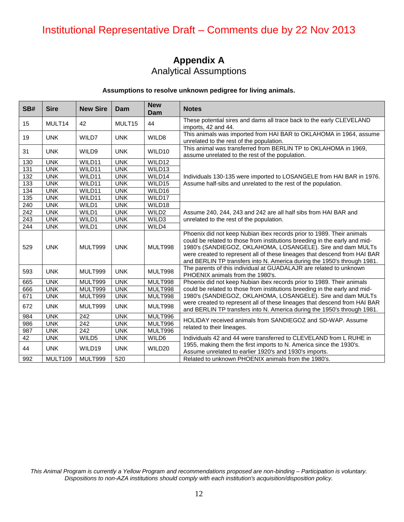### **Appendix A** Analytical Assumptions

#### **Assumptions to resolve unknown pedigree for living animals.**

| SB#              | <b>Sire</b> | <b>New Sire</b> | Dam        | <b>New</b><br>Dam  | <b>Notes</b>                                                                                                                                                                                                                                                                                                                                                               |
|------------------|-------------|-----------------|------------|--------------------|----------------------------------------------------------------------------------------------------------------------------------------------------------------------------------------------------------------------------------------------------------------------------------------------------------------------------------------------------------------------------|
| 15               | MULT14      | 42              | MULT15     | 44                 | These potential sires and dams all trace back to the early CLEVELAND<br>imports, 42 and 44.                                                                                                                                                                                                                                                                                |
| 19               | <b>UNK</b>  | WILD7           | <b>UNK</b> | WILD8              | This animals was imported from HAI BAR to OKLAHOMA in 1964, assume<br>unrelated to the rest of the population.                                                                                                                                                                                                                                                             |
| 31               | <b>UNK</b>  | WILD9           | <b>UNK</b> | WILD10             | This animal was transferred from BERLIN TP to OKLAHOMA in 1969,<br>assume unrelated to the rest of the population.                                                                                                                                                                                                                                                         |
| 130              | <b>UNK</b>  | WILD11          | <b>UNK</b> | WILD12             |                                                                                                                                                                                                                                                                                                                                                                            |
| 131              | <b>UNK</b>  | WILD11          | <b>UNK</b> | WILD <sub>13</sub> |                                                                                                                                                                                                                                                                                                                                                                            |
| 132              | <b>UNK</b>  | WILD11          | <b>UNK</b> | WILD14             | Individuals 130-135 were imported to LOSANGELE from HAI BAR in 1976.                                                                                                                                                                                                                                                                                                       |
| 133              | <b>UNK</b>  | WILD11          | <b>UNK</b> | WILD15             | Assume half-sibs and unrelated to the rest of the population.                                                                                                                                                                                                                                                                                                              |
| 134              | <b>UNK</b>  | WILD11          | <b>UNK</b> | WILD16             |                                                                                                                                                                                                                                                                                                                                                                            |
| 135              | <b>UNK</b>  | WILD11          | <b>UNK</b> | WILD17             |                                                                                                                                                                                                                                                                                                                                                                            |
| 240              | <b>UNK</b>  | WILD1           | <b>UNK</b> | WILD18             |                                                                                                                                                                                                                                                                                                                                                                            |
| $\overline{242}$ | <b>UNK</b>  | WILD1           | <b>UNK</b> | WILD <sub>2</sub>  | Assume 240, 244, 243 and 242 are all half sibs from HAI BAR and                                                                                                                                                                                                                                                                                                            |
| $\overline{243}$ | <b>UNK</b>  | WILD1           | <b>UNK</b> | WILD3              | unrelated to the rest of the population.                                                                                                                                                                                                                                                                                                                                   |
| 244              | <b>UNK</b>  | WILD1           | <b>UNK</b> | WILD4              |                                                                                                                                                                                                                                                                                                                                                                            |
| 529              | <b>UNK</b>  | MULT999         | <b>UNK</b> | MULT998            | Phoenix did not keep Nubian ibex records prior to 1989. Their animals<br>could be related to those from institutions breeding in the early and mid-<br>1980's (SANDIEGOZ, OKLAHOMA, LOSANGELE). Sire and dam MULTs<br>were created to represent all of these lineages that descend from HAI BAR<br>and BERLIN TP transfers into N. America during the 1950's through 1981. |
| 593              | <b>UNK</b>  | MULT999         | <b>UNK</b> | MULT998            | The parents of this individual at GUADALAJR are related to unknown<br>PHOENIX animals from the 1980's.                                                                                                                                                                                                                                                                     |
| 665              | <b>UNK</b>  | MULT999         | <b>UNK</b> | MULT998            | Phoenix did not keep Nubian ibex records prior to 1989. Their animals                                                                                                                                                                                                                                                                                                      |
| 666              | <b>UNK</b>  | MULT999         | <b>UNK</b> | MULT998            | could be related to those from institutions breeding in the early and mid-                                                                                                                                                                                                                                                                                                 |
| 671              | <b>UNK</b>  | MULT999         | <b>UNK</b> | MULT998            | 1980's (SANDIEGOZ, OKLAHOMA, LOSANGELE). Sire and dam MULTs                                                                                                                                                                                                                                                                                                                |
| 672              | <b>UNK</b>  | MULT999         | <b>UNK</b> | MULT998            | were created to represent all of these lineages that descend from HAI BAR<br>and BERLIN TP transfers into N. America during the 1950's through 1981.                                                                                                                                                                                                                       |
| 984              | <b>UNK</b>  | 242             | <b>UNK</b> | MULT996            | HOLIDAY received animals from SANDIEGOZ and SD-WAP. Assume                                                                                                                                                                                                                                                                                                                 |
| 986              | <b>UNK</b>  | 242             | <b>UNK</b> | MULT996            | related to their lineages.                                                                                                                                                                                                                                                                                                                                                 |
| 987              | <b>UNK</b>  | 242             | <b>UNK</b> | MULT996            |                                                                                                                                                                                                                                                                                                                                                                            |
| 42               | <b>UNK</b>  | WILD5           | <b>UNK</b> | WILD6              | Individuals 42 and 44 were transferred to CLEVELAND from L RUHE in                                                                                                                                                                                                                                                                                                         |
| 44               | <b>UNK</b>  | WILD19          | <b>UNK</b> | WILD20             | 1955, making them the first imports to N. America since the 1930's.<br>Assume unrelated to earlier 1920's and 1930's imports.                                                                                                                                                                                                                                              |
| 992              | MULT109     | MULT999         | 520        |                    | Related to unknown PHOENIX animals from the 1980's.                                                                                                                                                                                                                                                                                                                        |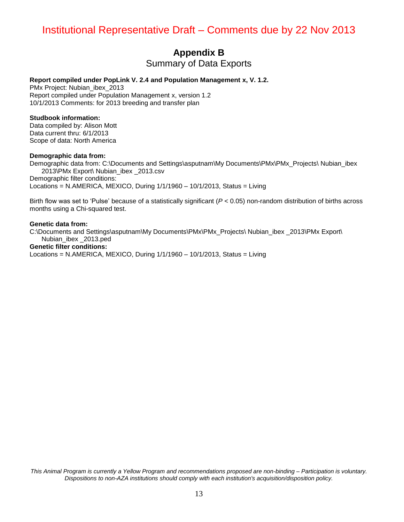### **Appendix B**

Summary of Data Exports

#### **Report compiled under PopLink V. 2.4 and Population Management x, V. 1.2.**

PMx Project: Nubian\_ibex\_2013 Report compiled under Population Management x, version 1.2 10/1/2013 Comments: for 2013 breeding and transfer plan

#### **Studbook information:**

Data compiled by: Alison Mott Data current thru: 6/1/2013 Scope of data: North America

#### **Demographic data from:**

Demographic data from: C:\Documents and Settings\asputnam\My Documents\PMx\PMx\_Projects\ Nubian\_ibex 2013\PMx Export\ Nubian\_ibex \_2013.csv Demographic filter conditions: Locations = N.AMERICA, MEXICO, During  $1/1/1960 - 10/1/2013$ , Status = Living

Birth flow was set to 'Pulse' because of a statistically significant (*P* < 0.05) non-random distribution of births across months using a Chi-squared test.

#### **Genetic data from:**

C:\Documents and Settings\asputnam\My Documents\PMx\PMx\_Projects\ Nubian\_ibex \_2013\PMx Export\ Nubian\_ibex \_2013.ped **Genetic filter conditions:**  Locations = N.AMERICA, MEXICO, During  $1/1/1960 - 10/1/2013$ , Status = Living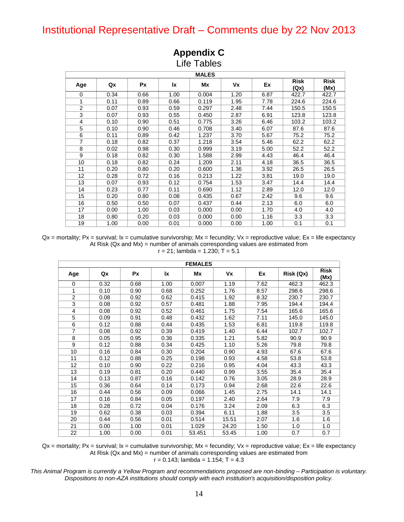| <b>Life Tables</b><br><b>MALES</b>                                                           |      |      |      |       |      |      |       |       |  |  |  |
|----------------------------------------------------------------------------------------------|------|------|------|-------|------|------|-------|-------|--|--|--|
| <b>Risk</b><br><b>Risk</b><br>Vx<br>Ex<br>Qx<br><b>Px</b><br>Ιx<br>Mx<br>Age<br>(Qx)<br>(Mx) |      |      |      |       |      |      |       |       |  |  |  |
| $\Omega$                                                                                     | 0.34 | 0.66 | 1.00 | 0.004 | 1.20 | 6.87 | 422.7 | 422.7 |  |  |  |
| 1                                                                                            | 0.11 | 0.89 | 0.66 | 0.119 | 1.95 | 7.78 | 224.6 | 224.6 |  |  |  |
| $\overline{c}$                                                                               | 0.07 | 0.93 | 0.59 | 0.297 | 2.48 | 7.44 | 150.5 | 150.5 |  |  |  |
| 3                                                                                            | 0.07 | 0.93 | 0.55 | 0.450 | 2.87 | 6.91 | 123.8 | 123.8 |  |  |  |
| $\overline{4}$                                                                               | 0.10 | 0.90 | 0.51 | 0.775 | 3.26 | 6.46 | 103.2 | 103.2 |  |  |  |
| 5                                                                                            | 0.10 | 0.90 | 0.46 | 0.708 | 3.40 | 6.07 | 87.6  | 87.6  |  |  |  |
| 6                                                                                            | 0.11 | 0.89 | 0.42 | 1.237 | 3.70 | 5.67 | 75.2  | 75.2  |  |  |  |
| $\overline{7}$                                                                               | 0.18 | 0.82 | 0.37 | 1.218 | 3.54 | 5.46 | 62.2  | 62.2  |  |  |  |
| 8                                                                                            | 0.02 | 0.98 | 0.30 | 0.999 | 3.19 | 5.00 | 52.2  | 52.2  |  |  |  |
| 9                                                                                            | 0.18 | 0.82 | 0.30 | 1.588 | 2.99 | 4.43 | 46.4  | 46.4  |  |  |  |
| 10                                                                                           | 0.18 | 0.82 | 0.24 | 1.209 | 2.11 | 4.18 | 36.5  | 36.5  |  |  |  |
| 11                                                                                           | 0.20 | 0.80 | 0.20 | 0.600 | 1.36 | 3.92 | 26.5  | 26.5  |  |  |  |
| 12                                                                                           | 0.28 | 0.72 | 0.16 | 0.213 | 1.22 | 3.81 | 19.0  | 19.0  |  |  |  |
| 13                                                                                           | 0.07 | 0.93 | 0.12 | 0.754 | 1.53 | 3.47 | 14.4  | 14.4  |  |  |  |
| 14                                                                                           | 0.23 | 0.77 | 0.11 | 0.690 | 1.12 | 2.89 | 12.0  | 12.0  |  |  |  |
| 15                                                                                           | 0.20 | 0.80 | 0.08 | 0.435 | 0.67 | 2.42 | 9.6   | 9.6   |  |  |  |
| 16                                                                                           | 0.50 | 0.50 | 0.07 | 0.437 | 0.44 | 2.13 | 6.0   | 6.0   |  |  |  |
| 17                                                                                           | 0.00 | 1.00 | 0.03 | 0.000 | 0.00 | 1.70 | 4.0   | 4.0   |  |  |  |
| 18                                                                                           | 0.80 | 0.20 | 0.03 | 0.000 | 0.00 | 1.16 | 3.3   | 3.3   |  |  |  |
| 19                                                                                           | 1.00 | 0.00 | 0.01 | 0.000 | 0.00 | 1.00 | 0.1   | 0.1   |  |  |  |

# **Appendix C**

 $Qx$  = mortality; Px = survival;  $lx$  = cumulative survivorship; Mx = fecundity; Vx = reproductive value; Ex = life expectancy At Risk (Qx and Mx) = number of animals corresponding values are estimated from  $r = 21$ ; lambda = 1.230;  $T = 5.1$ 

| <b>FEMALES</b>          |      |           |           |           |       |      |           |                     |  |  |
|-------------------------|------|-----------|-----------|-----------|-------|------|-----------|---------------------|--|--|
| Age                     | Qx   | <b>Px</b> | <b>Ix</b> | <b>Mx</b> | Vx    | Ex   | Risk (Qx) | <b>Risk</b><br>(Mx) |  |  |
| $\mathbf 0$             | 0.32 | 0.68      | 1.00      | 0.007     | 1.19  | 7.62 | 462.3     | 462.3               |  |  |
| 1                       | 0.10 | 0.90      | 0.68      | 0.252     | 1.76  | 8.57 | 298.6     | 298.6               |  |  |
| $\overline{2}$          | 0.08 | 0.92      | 0.62      | 0.415     | 1.92  | 8.32 | 230.7     | 230.7               |  |  |
| $\overline{\mathbf{3}}$ | 0.08 | 0.92      | 0.57      | 0.481     | 1.88  | 7.95 | 194.4     | 194.4               |  |  |
| 4                       | 0.08 | 0.92      | 0.52      | 0.461     | 1.75  | 7.54 | 165.6     | 165.6               |  |  |
| $\overline{5}$          | 0.09 | 0.91      | 0.48      | 0.432     | 1.62  | 7.11 | 145.0     | 145.0               |  |  |
| $\overline{6}$          | 0.12 | 0.88      | 0.44      | 0.435     | 1.53  | 6.81 | 119.8     | 119.8               |  |  |
| $\overline{7}$          | 0.08 | 0.92      | 0.39      | 0.419     | 1.40  | 6.44 | 102.7     | 102.7               |  |  |
| 8                       | 0.05 | 0.95      | 0.36      | 0.335     | 1.21  | 5.82 | 90.9      | 90.9                |  |  |
| 9                       | 0.12 | 0.88      | 0.34      | 0.425     | 1.10  | 5.26 | 79.8      | 79.8                |  |  |
| 10                      | 0.16 | 0.84      | 0.30      | 0.204     | 0.90  | 4.93 | 67.6      | 67.6                |  |  |
| 11                      | 0.12 | 0.88      | 0.25      | 0.198     | 0.93  | 4.58 | 53.8      | 53.8                |  |  |
| 12                      | 0.10 | 0.90      | 0.22      | 0.216     | 0.95  | 4.04 | 43.3      | 43.3                |  |  |
| 13                      | 0.19 | 0.81      | 0.20      | 0.440     | 0.99  | 3.55 | 35.4      | 35.4                |  |  |
| 14                      | 0.13 | 0.87      | 0.16      | 0.142     | 0.76  | 3.05 | 28.9      | 28.9                |  |  |
| 15                      | 0.36 | 0.64      | 0.14      | 0.173     | 0.94  | 2.68 | 22.6      | 22.6                |  |  |
| 16                      | 0.44 | 0.56      | 0.09      | 0.066     | 1.45  | 2.75 | 14.1      | 14.1                |  |  |
| 17                      | 0.16 | 0.84      | 0.05      | 0.197     | 2.40  | 2.64 | 7.9       | 7.9                 |  |  |
| 18                      | 0.28 | 0.72      | 0.04      | 0.176     | 3.24  | 2.09 | 6.3       | 6.3                 |  |  |
| 19                      | 0.62 | 0.38      | 0.03      | 0.394     | 6.11  | 1.88 | 3.5       | 3.5                 |  |  |
| 20                      | 0.44 | 0.56      | 0.01      | 0.514     | 15.51 | 2.07 | 1.6       | 1.6                 |  |  |
| 21                      | 0.00 | 1.00      | 0.01      | 1.029     | 24.20 | 1.50 | 1.0       | 1.0                 |  |  |
| 22                      | 1.00 | 0.00      | 0.01      | 53.451    | 53.45 | 1.00 | 0.7       | 0.7                 |  |  |

 $Qx$  = mortality; Px = survival;  $lx$  = cumulative survivorship;  $Mx$  = fecundity;  $Vx$  = reproductive value;  $Ex$  = life expectancy At Risk (Qx and Mx) = number of animals corresponding values are estimated from  $r = 0.143$ ; lambda = 1.154; T = 4.3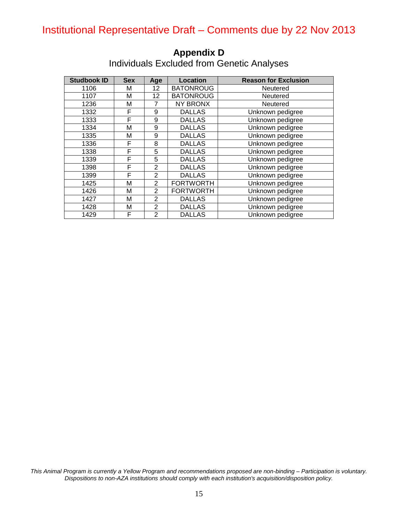| <b>Studbook ID</b> | <b>Sex</b> | Age            | <b>Location</b>  | <b>Reason for Exclusion</b> |
|--------------------|------------|----------------|------------------|-----------------------------|
| 1106               | М          | 12             | <b>BATONROUG</b> | Neutered                    |
| 1107               | Μ          | 12             | <b>BATONROUG</b> | Neutered                    |
| 1236               | Μ          | 7              | <b>NY BRONX</b>  | Neutered                    |
| 1332               | F          | 9              | <b>DALLAS</b>    | Unknown pedigree            |
| 1333               | F          | 9              | <b>DALLAS</b>    | Unknown pedigree            |
| 1334               | Μ          | 9              | <b>DALLAS</b>    | Unknown pedigree            |
| 1335               | М          | 9              | <b>DALLAS</b>    | Unknown pedigree            |
| 1336               | F          | 8              | <b>DALLAS</b>    | Unknown pedigree            |
| 1338               | F          | 5              | <b>DALLAS</b>    | Unknown pedigree            |
| 1339               | F          | 5              | <b>DALLAS</b>    | Unknown pedigree            |
| 1398               | F          | $\overline{2}$ | <b>DALLAS</b>    | Unknown pedigree            |
| 1399               | F          | $\overline{2}$ | <b>DALLAS</b>    | Unknown pedigree            |
| 1425               | M          | $\overline{2}$ | <b>FORTWORTH</b> | Unknown pedigree            |
| 1426               | Μ          | $\overline{2}$ | <b>FORTWORTH</b> | Unknown pedigree            |
| 1427               | М          | $\overline{2}$ | <b>DALLAS</b>    | Unknown pedigree            |
| 1428               | м          | $\overline{2}$ | <b>DALLAS</b>    | Unknown pedigree            |
| 1429               | F          | $\overline{2}$ | <b>DALLAS</b>    | Unknown pedigree            |

### **Appendix D** Individuals Excluded from Genetic Analyses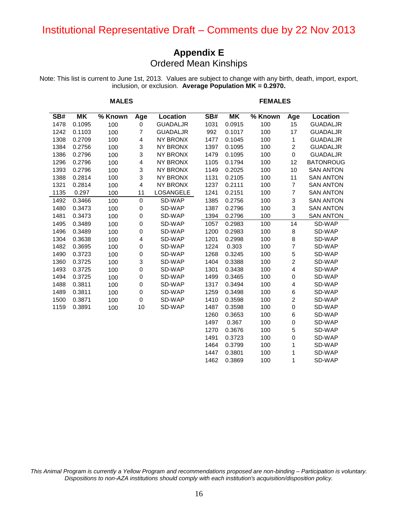### **Appendix E** Ordered Mean Kinships

Note: This list is current to June 1st, 2013. Values are subject to change with any birth, death, import, export, inclusion, or exclusion. **Average Population MK = 0.2970.**

|      |        | <b>MALES</b> |                |                  |      | <b>FEMALES</b> |         |                         |                  |  |
|------|--------|--------------|----------------|------------------|------|----------------|---------|-------------------------|------------------|--|
| SB#  | ΜK     | % Known      | Age            | Location         | SB#  | ΜK             | % Known | Age                     | Location         |  |
| 1478 | 0.1095 | 100          | $\mathbf 0$    | <b>GUADALJR</b>  | 1031 | 0.0915         | 100     | 15                      | <b>GUADALJR</b>  |  |
| 1242 | 0.1103 | 100          | 7              | <b>GUADALJR</b>  | 992  | 0.1017         | 100     | 17                      | <b>GUADALJR</b>  |  |
| 1308 | 0.2709 | 100          | 4              | <b>NY BRONX</b>  | 1477 | 0.1045         | 100     | 1                       | <b>GUADALJR</b>  |  |
| 1384 | 0.2756 | 100          | 3              | <b>NY BRONX</b>  | 1397 | 0.1095         | 100     | $\overline{c}$          | <b>GUADALJR</b>  |  |
| 1386 | 0.2796 | 100          | 3              | <b>NY BRONX</b>  | 1479 | 0.1095         | 100     | 0                       | <b>GUADALJR</b>  |  |
| 1296 | 0.2796 | 100          | $\overline{4}$ | <b>NY BRONX</b>  | 1105 | 0.1794         | 100     | 12                      | <b>BATONROUG</b> |  |
| 1393 | 0.2796 | 100          | 3              | <b>NY BRONX</b>  | 1149 | 0.2025         | 100     | 10                      | <b>SAN ANTON</b> |  |
| 1388 | 0.2814 | 100          | 3              | <b>NY BRONX</b>  | 1131 | 0.2105         | 100     | 11                      | <b>SAN ANTON</b> |  |
| 1321 | 0.2814 | 100          | 4              | <b>NY BRONX</b>  | 1237 | 0.2111         | 100     | $\overline{7}$          | <b>SAN ANTON</b> |  |
| 1135 | 0.297  | 100          | 11             | <b>LOSANGELE</b> | 1241 | 0.2151         | 100     | $\overline{7}$          | <b>SAN ANTON</b> |  |
| 1492 | 0.3466 | 100          | $\mathbf 0$    | SD-WAP           | 1385 | 0.2756         | 100     | 3                       | <b>SAN ANTON</b> |  |
| 1480 | 0.3473 | 100          | 0              | SD-WAP           | 1387 | 0.2796         | 100     | $\sqrt{3}$              | <b>SAN ANTON</b> |  |
| 1481 | 0.3473 | 100          | 0              | SD-WAP           | 1394 | 0.2796         | 100     | 3                       | <b>SAN ANTON</b> |  |
| 1495 | 0.3489 | 100          | 0              | SD-WAP           | 1057 | 0.2983         | 100     | 14                      | SD-WAP           |  |
| 1496 | 0.3489 | 100          | $\pmb{0}$      | SD-WAP           | 1200 | 0.2983         | 100     | $\bf8$                  | SD-WAP           |  |
| 1304 | 0.3638 | 100          | 4              | SD-WAP           | 1201 | 0.2998         | 100     | 8                       | SD-WAP           |  |
| 1482 | 0.3695 | 100          | 0              | SD-WAP           | 1224 | 0.303          | 100     | 7                       | SD-WAP           |  |
| 1490 | 0.3723 | 100          | 0              | SD-WAP           | 1268 | 0.3245         | 100     | 5                       | SD-WAP           |  |
| 1360 | 0.3725 | 100          | 3              | SD-WAP           | 1404 | 0.3388         | 100     | $\overline{\mathbf{c}}$ | SD-WAP           |  |
| 1493 | 0.3725 | 100          | 0              | SD-WAP           | 1301 | 0.3438         | 100     | 4                       | SD-WAP           |  |
| 1494 | 0.3725 | 100          | 0              | SD-WAP           | 1499 | 0.3465         | 100     | 0                       | SD-WAP           |  |
| 1488 | 0.3811 | 100          | 0              | SD-WAP           | 1317 | 0.3494         | 100     | 4                       | SD-WAP           |  |
| 1489 | 0.3811 | 100          | 0              | SD-WAP           | 1259 | 0.3498         | 100     | 6                       | SD-WAP           |  |
| 1500 | 0.3871 | 100          | $\mathbf 0$    | SD-WAP           | 1410 | 0.3598         | 100     | $\boldsymbol{2}$        | SD-WAP           |  |
| 1159 | 0.3891 | 100          | 10             | SD-WAP           | 1487 | 0.3598         | 100     | $\pmb{0}$               | SD-WAP           |  |
|      |        |              |                |                  | 1260 | 0.3653         | 100     | $\,6$                   | SD-WAP           |  |
|      |        |              |                |                  | 1497 | 0.367          | 100     | $\pmb{0}$               | SD-WAP           |  |
|      |        |              |                |                  | 1270 | 0.3676         | 100     | 5                       | SD-WAP           |  |
|      |        |              |                |                  | 1491 | 0.3723         | 100     | $\mathbf 0$             | SD-WAP           |  |
|      |        |              |                |                  | 1464 | 0.3799         | 100     | 1                       | SD-WAP           |  |
|      |        |              |                |                  | 1447 | 0.3801         | 100     | 1                       | SD-WAP           |  |

*This Animal Program is currently a Yellow Program and recommendations proposed are non-binding – Participation is voluntary. Dispositions to non-AZA institutions should comply with each institution's acquisition/disposition policy.*

0.3869 100 1 SD-WAP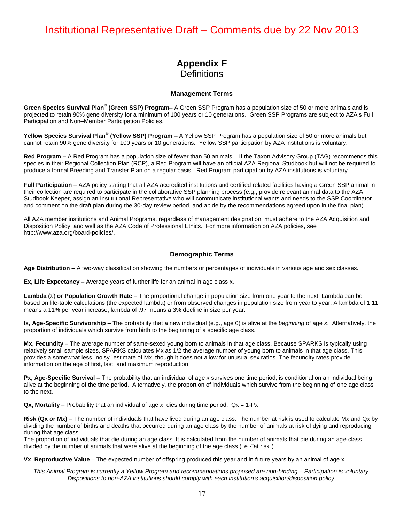### **Appendix F Definitions**

#### **Management Terms**

Green Species Survival Plan<sup>®</sup> (Green SSP) Program– A Green SSP Program has a population size of 50 or more animals and is projected to retain 90% gene diversity for a minimum of 100 years or 10 generations. Green SSP Programs are subject to AZA's Full Participation and Non–Member Participation Policies.

**Yellow Species Survival Plan<sup>®</sup> (Yellow SSP) Program –** A Yellow SSP Program has a population size of 50 or more animals but cannot retain 90% gene diversity for 100 years or 10 generations. Yellow SSP participation by AZA institutions is voluntary.

**Red Program –** A Red Program has a population size of fewer than 50 animals. If the Taxon Advisory Group (TAG) recommends this species in their Regional Collection Plan (RCP), a Red Program will have an official AZA Regional Studbook but will not be required to produce a formal Breeding and Transfer Plan on a regular basis. Red Program participation by AZA institutions is voluntary.

**Full Participation** – AZA policy stating that all AZA accredited institutions and certified related facilities having a Green SSP animal in their collection are required to participate in the collaborative SSP planning process (e.g., provide relevant animal data to the AZA Studbook Keeper, assign an Institutional Representative who will communicate institutional wants and needs to the SSP Coordinator and comment on the draft plan during the 30-day review period, and abide by the recommendations agreed upon in the final plan).

All AZA member institutions and Animal Programs, regardless of management designation, must adhere to the AZA Acquisition and Disposition Policy, and well as the AZA Code of Professional Ethics. For more information on AZA policies, see [http://www.aza.org/board-policies/.](http://www.aza.org/board-policies/)

#### **Demographic Terms**

**Age Distribution** – A two-way classification showing the numbers or percentages of individuals in various age and sex classes.

**Ex, Life Expectancy –** Average years of further life for an animal in age class x.

**Lambda (** $\lambda$ **) or Population Growth Rate** – The proportional change in population size from one year to the next. Lambda can be based on life-table calculations (the expected lambda) or from observed changes in population size from year to year. A lambda of 1.11 means a 11% per year increase; lambda of .97 means a 3% decline in size per year.

**lx, Age-Specific Survivorship –** The probability that a new individual (e.g., age 0) is alive at the *beginning* of age *x*. Alternatively, the proportion of individuals which survive from birth to the beginning of a specific age class.

**Mx**, **Fecundity** – The average number of same-sexed young born to animals in that age class. Because SPARKS is typically using relatively small sample sizes, SPARKS calculates Mx as 1/2 the average number of young born to animals in that age class. This provides a somewhat less "noisy" estimate of Mx, though it does not allow for unusual sex ratios. The fecundity rates provide information on the age of first, last, and maximum reproduction.

**Px, Age-Specific Survival –** The probability that an individual of age *x* survives one time period; is conditional on an individual being alive at the beginning of the time period. Alternatively, the proportion of individuals which survive from the beginning of one age class to the next.

**Qx, Mortality** – Probability that an individual of age  $x$  dies during time period.  $Qx = 1-Px$ 

**Risk (Qx or Mx)** – The number of individuals that have lived during an age class. The number at risk is used to calculate Mx and Qx by dividing the number of births and deaths that occurred during an age class by the number of animals at risk of dying and reproducing during that age class.

The proportion of individuals that die during an age class. It is calculated from the number of animals that die during an age class divided by the number of animals that were alive at the beginning of the age class (i.e.-"at risk").

**Vx**, **Reproductive Value** – The expected number of offspring produced this year and in future years by an animal of age x.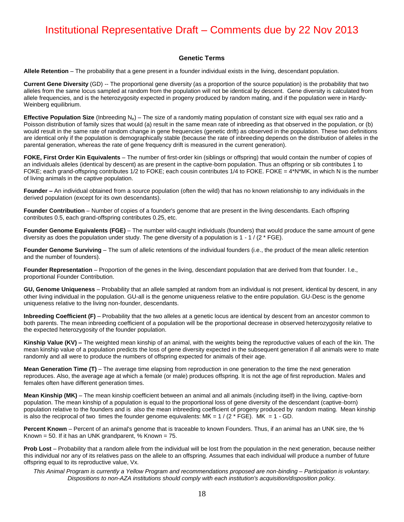#### **Genetic Terms**

**Allele Retention** – The probability that a gene present in a founder individual exists in the living, descendant population.

**Current Gene Diversity** (GD) -- The proportional gene diversity (as a proportion of the source population) is the probability that two alleles from the same locus sampled at random from the population will not be identical by descent. Gene diversity is calculated from allele frequencies, and is the heterozygosity expected in progeny produced by random mating, and if the population were in Hardy-Weinberg equilibrium.

**Effective Population Size** (Inbreeding N<sub>e</sub>) – The size of a randomly mating population of constant size with equal sex ratio and a Poisson distribution of family sizes that would (a) result in the same mean rate of inbreeding as that observed in the population, or (b) would result in the same rate of random change in gene frequencies (genetic drift) as observed in the population. These two definitions are identical only if the population is demographically stable (because the rate of inbreeding depends on the distribution of alleles in the parental generation, whereas the rate of gene frequency drift is measured in the current generation).

**FOKE, First Order Kin Equivalents** – The number of first-order kin (siblings or offspring) that would contain the number of copies of an individuals alleles (identical by descent) as are present in the captive-born population. Thus an offspring or sib contributes 1 to FOKE; each grand-offspring contributes 1/2 to FOKE; each cousin contributes 1/4 to FOKE. FOKE = 4\*N\*MK, in which N is the number of living animals in the captive population.

**Founder –** An individual obtained from a source population (often the wild) that has no known relationship to any individuals in the derived population (except for its own descendants).

**Founder Contribution** – Number of copies of a founder's genome that are present in the living descendants. Each offspring contributes 0.5, each grand-offspring contributes 0.25, etc.

**Founder Genome Equivalents (FGE)** – The number wild-caught individuals (founders) that would produce the same amount of gene diversity as does the population under study. The gene diversity of a population is  $1 - 1 / (2 \cdot FGE)$ .

Founder Genome Surviving – The sum of allelic retentions of the individual founders (i.e., the product of the mean allelic retention and the number of founders).

**Founder Representation** – Proportion of the genes in the living, descendant population that are derived from that founder. I.e., proportional Founder Contribution.

**GU, Genome Uniqueness** – Probability that an allele sampled at random from an individual is not present, identical by descent, in any other living individual in the population. GU-all is the genome uniqueness relative to the entire population. GU-Desc is the genome uniqueness relative to the living non-founder, descendants.

**Inbreeding Coefficient (F)** – Probability that the two alleles at a genetic locus are identical by descent from an ancestor common to both parents. The mean inbreeding coefficient of a population will be the proportional decrease in observed heterozygosity relative to the expected heterozygosity of the founder population.

**Kinship Value (KV) –** The weighted mean kinship of an animal, with the weights being the reproductive values of each of the kin. The mean kinship value of a population predicts the loss of gene diversity expected in the subsequent generation if all animals were to mate randomly and all were to produce the numbers of offspring expected for animals of their age.

**Mean Generation Time (T)** – The average time elapsing from reproduction in one generation to the time the next generation reproduces. Also, the average age at which a female (or male) produces offspring. It is not the age of first reproduction. Males and females often have different generation times.

**Mean Kinship (MK)** – The mean kinship coefficient between an animal and all animals (including itself) in the living, captive-born population. The mean kinship of a population is equal to the proportional loss of gene diversity of the descendant (captive-born) population relative to the founders and is also the mean inbreeding coefficient of progeny produced by random mating. Mean kinship is also the reciprocal of two times the founder genome equivalents:  $MK = 1 / (2 * FGE)$ .  $MK = 1 - GD$ .

**Percent Known** – Percent of an animal's genome that is traceable to known Founders. Thus, if an animal has an UNK sire, the % Known = 50. If it has an UNK grandparent,  $%$  Known = 75.

**Prob Lost** – Probability that a random allele from the individual will be lost from the population in the next generation, because neither this individual nor any of its relatives pass on the allele to an offspring. Assumes that each individual will produce a number of future offspring equal to its reproductive value, Vx.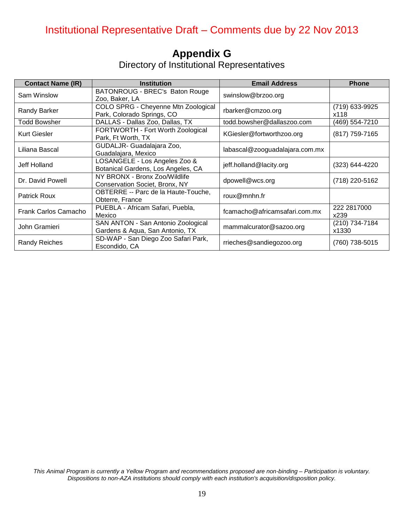# **Appendix G**

Directory of Institutional Representatives

| <b>Contact Name (IR)</b> | <b>Institution</b>                                                    | <b>Email Address</b>           | <b>Phone</b>            |
|--------------------------|-----------------------------------------------------------------------|--------------------------------|-------------------------|
| Sam Winslow              | BATONROUG - BREC's Baton Rouge<br>Zoo, Baker, LA                      | swinslow@brzoo.org             |                         |
| <b>Randy Barker</b>      | COLO SPRG - Cheyenne Mtn Zoological<br>Park, Colorado Springs, CO     | rbarker@cmzoo.org              | (719) 633-9925<br>x118  |
| Todd Bowsher             | DALLAS - Dallas Zoo, Dallas, TX                                       | todd.bowsher@dallaszoo.com     | (469) 554-7210          |
| Kurt Giesler             | FORTWORTH - Fort Worth Zoological<br>Park, Ft Worth, TX               | KGiesler@fortworthzoo.org      | (817) 759-7165          |
| Liliana Bascal           | GUDALJR- Guadalajara Zoo,<br>Guadalajara, Mexico                      | labascal@zooguadalajara.com.mx |                         |
| Jeff Holland             | LOSANGELE - Los Angeles Zoo &<br>Botanical Gardens, Los Angeles, CA   | jeff.holland@lacity.org        | (323) 644-4220          |
| Dr. David Powell         | NY BRONX - Bronx Zoo/Wildlife<br>Conservation Societ, Bronx, NY       | dpowell@wcs.org                | (718) 220-5162          |
| <b>Patrick Roux</b>      | OBTERRE -- Parc de la Haute-Touche,<br>Obterre, France                | roux@mnhn.fr                   |                         |
| Frank Carlos Camacho     | PUEBLA - Africam Safari, Puebla,<br>Mexico                            | fcamacho@africamsafari.com.mx  | 222 2817000<br>x239     |
| John Gramieri            | SAN ANTON - San Antonio Zoological<br>Gardens & Aqua, San Antonio, TX | mammalcurator@sazoo.org        | (210) 734-7184<br>x1330 |
| <b>Randy Reiches</b>     | SD-WAP - San Diego Zoo Safari Park,<br>Escondido, CA                  | rrieches@sandiegozoo.org       | (760) 738-5015          |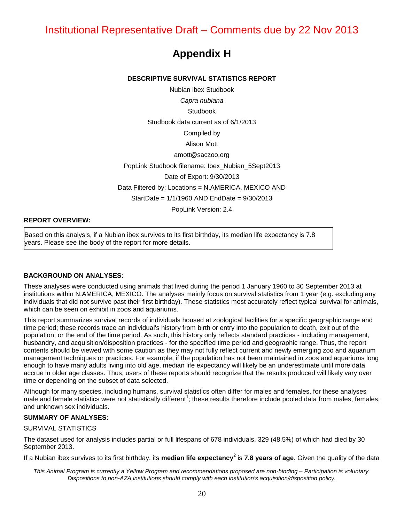## **Appendix H**

#### **DESCRIPTIVE SURVIVAL STATISTICS REPORT**

Nubian ibex Studbook *Capra nubiana*  Studbook Studbook data current as of 6/1/2013 Compiled by Alison Mott amott@saczoo.org PopLink Studbook filename: Ibex\_Nubian\_5Sept2013 Date of Export: 9/30/2013 Data Filtered by: Locations = N.AMERICA, MEXICO AND StartDate = 1/1/1960 AND EndDate = 9/30/2013 PopLink Version: 2.4

#### **REPORT OVERVIEW:**

Based on this analysis, if a Nubian ibex survives to its first birthday, its median life expectancy is 7.8 years. Please see the body of the report for more details.

#### **BACKGROUND ON ANALYSES:**

These analyses were conducted using animals that lived during the period 1 January 1960 to 30 September 2013 at institutions within N.AMERICA, MEXICO. The analyses mainly focus on survival statistics from 1 year (e.g. excluding any individuals that did not survive past their first birthday). These statistics most accurately reflect typical survival for animals, which can be seen on exhibit in zoos and aquariums.

This report summarizes survival records of individuals housed at zoological facilities for a specific geographic range and time period; these records trace an individual's history from birth or entry into the population to death, exit out of the population, or the end of the time period. As such, this history only reflects standard practices - including management, husbandry, and acquisition/disposition practices - for the specified time period and geographic range. Thus, the report contents should be viewed with some caution as they may not fully reflect current and newly emerging zoo and aquarium management techniques or practices. For example, if the population has not been maintained in zoos and aquariums long enough to have many adults living into old age, median life expectancy will likely be an underestimate until more data accrue in older age classes. Thus, users of these reports should recognize that the results produced will likely vary over time or depending on the subset of data selected.

Although for many species, including humans, survival statistics often differ for males and females, for these analyses male and female statistics were not statistically different<sup>1</sup>; these results therefore include pooled data from males, females, and unknown sex individuals.

#### **SUMMARY OF ANALYSES:**

#### SURVIVAL STATISTICS

The dataset used for analysis includes partial or full lifespans of 678 individuals, 329 (48.5%) of which had died by 30 September 2013.

If a Nubian ibex survives to its first birthday, its **median life expectancy<sup>2</sup> is 7.8 years of age**. Given the quality of the data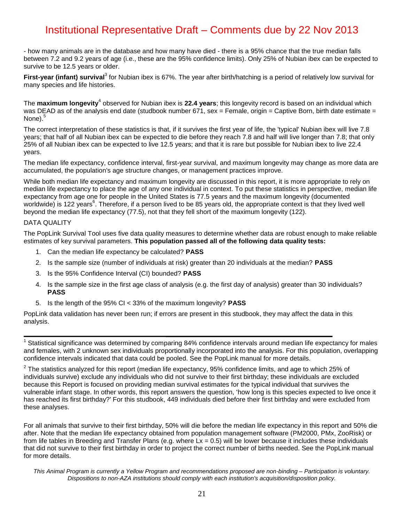- how many animals are in the database and how many have died - there is a 95% chance that the true median falls between 7.2 and 9.2 years of age (i.e., these are the 95% confidence limits). Only 25% of Nubian ibex can be expected to survive to be 12.5 years or older.

First-year (infant) survival<sup>3</sup> for Nubian ibex is 67%. The year after birth/hatching is a period of relatively low survival for many species and life histories.

The **maximum longevity**<sup>4</sup> observed for Nubian ibex is 22.4 years; this longevity record is based on an individual which was DEAD as of the analysis end date (studbook number 671, sex = Female, origin = Captive Born, birth date estimate = None).<sup>5</sup>

The correct interpretation of these statistics is that, if it survives the first year of life, the 'typical' Nubian ibex will live 7.8 years; that half of all Nubian ibex can be expected to die before they reach 7.8 and half will live longer than 7.8; that only 25% of all Nubian ibex can be expected to live 12.5 years; and that it is rare but possible for Nubian ibex to live 22.4 years.

The median life expectancy, confidence interval, first-year survival, and maximum longevity may change as more data are accumulated, the population's age structure changes, or management practices improve.

While both median life expectancy and maximum longevity are discussed in this report, it is more appropriate to rely on median life expectancy to place the age of any one individual in context. To put these statistics in perspective, median life expectancy from age one for people in the United States is 77.5 years and the maximum longevity (documented worldwide) is 122 years<sup>6</sup>. Therefore, if a person lived to be 85 years old, the appropriate context is that they lived well beyond the median life expectancy (77.5), not that they fell short of the maximum longevity (122).

#### DATA QUALITY

The PopLink Survival Tool uses five data quality measures to determine whether data are robust enough to make reliable estimates of key survival parameters. **This population passed all of the following data quality tests:**

- 1. Can the median life expectancy be calculated? **PASS**
- 2. Is the sample size (number of individuals at risk) greater than 20 individuals at the median? **PASS**
- 3. Is the 95% Confidence Interval (CI) bounded? **PASS**
- 4. Is the sample size in the first age class of analysis (e.g. the first day of analysis) greater than 30 individuals? **PASS**
- 5. Is the length of the 95% CI < 33% of the maximum longevity? **PASS**

PopLink data validation has never been run; if errors are present in this studbook, they may affect the data in this analysis.

 $1$  Statistical significance was determined by comparing 84% confidence intervals around median life expectancy for males and females, with 2 unknown sex individuals proportionally incorporated into the analysis. For this population, overlapping confidence intervals indicated that data could be pooled. See the PopLink manual for more details.

 $^2$  The statistics analyzed for this report (median life expectancy, 95% confidence limits, and age to which 25% of individuals survive) exclude any individuals who did not survive to their first birthday; these individuals are excluded because this Report is focused on providing median survival estimates for the typical individual that survives the vulnerable infant stage. In other words, this report answers the question, 'how long is this species expected to live once it has reached its first birthday?' For this studbook, 449 individuals died before their first birthday and were excluded from these analyses.

For all animals that survive to their first birthday, 50% will die before the median life expectancy in this report and 50% die after. Note that the median life expectancy obtained from population management software (PM2000, PMx, ZooRisk) or from life tables in Breeding and Transfer Plans (e.g. where  $Lx = 0.5$ ) will be lower because it includes these individuals that did not survive to their first birthday in order to project the correct number of births needed. See the PopLink manual for more details.